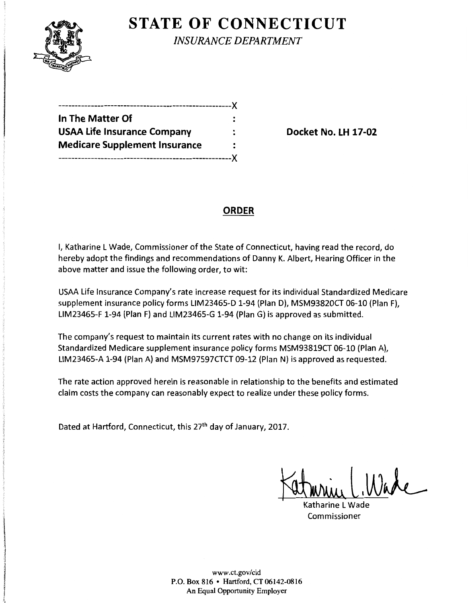

**STATE OF CONNECTICUT** 

*INSURANCE DEPARTMENT* 

| ------------------------------X      |      |
|--------------------------------------|------|
| In The Matter Of                     |      |
| <b>USAA Life Insurance Company</b>   |      |
| <b>Medicare Supplement Insurance</b> |      |
| . _________________                  | -- X |

**Docket No. LH 17-02** 

# **ORDER**

I, Katharine L Wade, Commissioner of the State of Connecticut, having read the record, do hereby adopt the findings and recommendations of Danny K. Albert, Hearing Officer in the above matter and issue the following order, to wit:

USAA Life Insurance Company's rate increase request for its individual Standardized Medicare supplement insurance policy forms LIM23465-D 1-94 (Plan D), MSM93820CT 06-10 (Plan F), LIM23465-F 1-94 (Plan F) and UM23465-G 1-94 (Plan G) is approved as submitted.

The company's request to maintain its current rates with no change on its individual Standardized Medicare supplement insurance policy forms MSM93819CT 06-10 (Plan A), LIM23465-A 1-94 (Plan A) and MSM97597CTCT 09-12 (Plan N) is approved as requested.

The rate action approved herein is reasonable in relationship to the benefits and estimated claim costs the company can reasonably expect to realize under these policy forms.

Dated at Hartford, Connecticut, this 27<sup>th</sup> day of January, 2017.

Murrel.Ware

Katharine L Wade Commissioner

www.ct.gov/cid P.O. Box 816 • Hartford, CT06142-0816 An Equal Opportunity Employer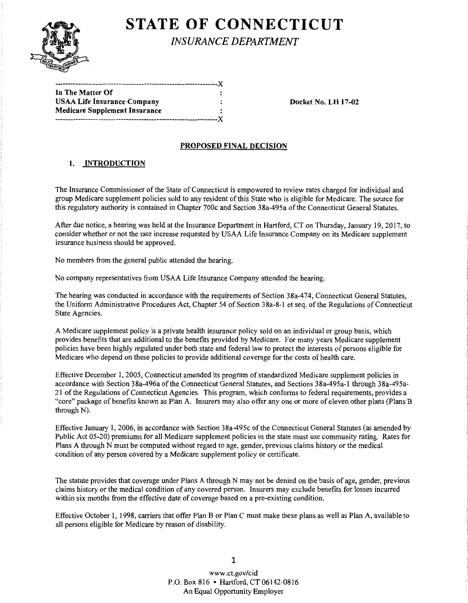

# **STATE OF CONNECTICUT**

*INSURANCE DEPARTMENT* 

| In The Matter Of                   |  |
|------------------------------------|--|
| <b>USAA Life Insurance Company</b> |  |
| Medicare Supplement Insurance      |  |
|                                    |  |

Docket No. LH 17-02

### PROPOSED FINAL DECISION

## 1. INTRODUCTION

The Insurance Commissioner of the State of Connecticut is empowered to review rates charged for individual and group Medicare supplement policies sold to any resident ofthis State who is eligible for Medicare. The source for this regulatory authority is contained in Chapter 700c and Section 38a-495a ofthe Connecticut General Statutes.

After due notice, a hearing was held at the Insurance Department in Hartford, CT on Thursday, January 19, 2017, to consider whether or not the rate increase requested by USAA Life Insurance Company on its Medicare supplement insurance business should be approved.

No members from the general public attended the hearing.

No company representatives from USAA Life Insurance Company attended the hearing.

The hearing was conducted in accordance with the requirements of Section 38a-474, Connecticut General Statutes, the Uniform Administrative Procedures Act, Chapter 54 of Section 38a-8-l et seq. ofthe Regulations ofConnecticut State Agencies.

A Medicare supplement policy is a private health insurance policy sold on an individual or group basis, which provides benefits that are additional to the benefits provided by Medicare. For many years Medicare supplement policies have been highly regulated under both state and federal law to protect the interests of persons eligible for Medicare who depend on these policies to provide additional coverage for the costs ofhealth care.

Effective December 1, 2005, Connecticut amended its program of standardized Medicare supplement policies in accordance with Section 38a-496a of the Connecticut General Statutes, and Sections 38a-495a-l through 38a-495a-21 ofthe Regulations of Connecticut Agencies. This program, which conforms to federal requirements, provides a "core" package of benefits known as Plan A. Insurers may also offer any one or more of eleven other plans (Plans B through N).

Effective January I, 2006, in accordance with Section 38a-495c ofthe Connecticut General Statutes (as amended by Public Act 05-20) premiums for all Medicare supplement policies in the state must use community rating. Rates for Plans A through N must be computed without regard to age, gender, previous claims history or the medical condition of any person covered by a Medicare supplement policy or certificate.

The statute provides that coverage under Plans A through N may not be denied on the basis of age, gender, previous claims history or the medical condition of any covered person. Insurers may exclude benefits for losses incurred within six months from the effective date of coverage based on a pre-existing condition.

Effective October 1, 1998, carriers that offer Plan B or Plan C must make these plans as well as Plan A, available to all persons eligible for Medicare by reason of disability.

> www.ct.gov/cid P.O. Box 816 • Hartford, CT 06142-0816 An Equal Opportunity Employer

1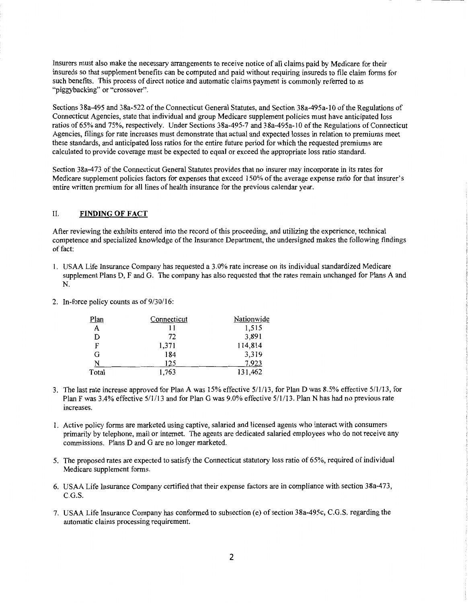Insurers must also make the necessary arrangements to receive notice of all claims paid by Medicare for their insureds so that supplement benefits can be computed and paid without requiring insureds to file claim forms for such benefits. This process of direct notice and automatic claims payment is commonly referred to as "piggybacking" or "crossover".

Sections 38a-495 and 38a-522 of the Connecticut General Statutes, and Section 38a-495a-10 of the Regulations of Connecticut Agencies, state that individual and group Medicare supplement policies must have anticipated loss ratios of 65% and 75%, respectively. Under Sections 38a-495-7 and 38a-495a-l 0 ofthe Regulations of Connecticut Agencies, filings for rate increases must demonstrate that actual and expected losses in relation to premiums meet these standards, and anticipated loss ratios for the entire future period for which the requested premiums are calculated to provide coverage must be expected to equal or exceed the appropriate loss ratio standard.

Section 38a-473 of the Connecticut General Statutes provides that no insurer may incorporate in its rates for Medicare supplement policies factors for expenses that exceed 150% of the average expense ratio for that insurer's entire written premium for all lines of health insurance for the previous calendar year.

#### II. **FINDINGOFFACT**

After reviewing the exhibits entered into the record of this proceeding, and utilizing the experience, technical competence and specialized knowledge ofthe Insurance Department, the undersigned makes the following findings of fact:

- 1. USAA Life Insurance Company has requested a 3.0% rate increase on its individual standardized Medicare supplement Plans D, F and G. The company has also requested that the rates remain unchanged for Plans A and N.
- 2. In-force policy counts as of  $9/30/16$ :

| <u>Plan</u> | Connecticut | Nationwide |
|-------------|-------------|------------|
| A           | 11          | 1,515      |
| D           | 72          | 3,891      |
| F           | 1,371       | 114,814    |
| G           | 184         | 3,319      |
| N           | 125         | 7,923      |
| Total       | 1,763       | 131,462    |

- 3. The last rate increase approved for Plan A was 15% effective 5/1/13, for Plan D was 8.5% effective 5/1/13, for Plan F was 3.4% effective 5/1/13 and for Plan G was 9.0% effective 5/1/13. Plan N has had no previous rate increases.
- I. Active policy forms are marketed using captive, salaried and licensed agents who interact with consumers primarily by telephone, mail or internet. The agents are dedicated salaried employees who do not receive any commissions. Plans D and G are no longer marketed.
- 5. The proposed rates are expected to satisfy the Connecticut statutory loss ratio of 65%, required of individual Medicare supplement forms.
- 6. USAA Life Insurance Company certified that their expense factors are in compliance with section 38a-473, C.G.S.
- 7. USAA Life Insurance Company has conformed to subsection (e) of section 38a-495c, C.G.S. regarding the automatic claims processing requirement.